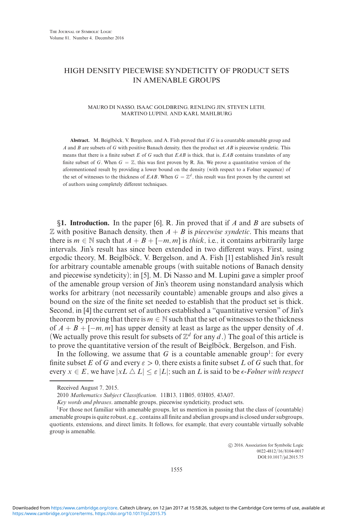## HIGH DENSITY PIECEWISE SYNDETICITY OF PRODUCT SETS IN AMENABLE GROUPS

## MAURO DI NASSO, ISAAC GOLDBRING, RENLING JIN, STEVEN LETH, MARTINO LUPINI, AND KARL MAHLBURG

**Abstract.** M. Beiglböck, V. Bergelson, and A. Fish proved that if  $G$  is a countable amenable group and *A* and *B* are subsets of *G* with positive Banach density, then the product set *AB* is piecewise syndetic. This means that there is a finite subset *E* of *G* such that *EAB* is thick, that is, *EAB* contains translates of any finite subset of *G*. When  $G = \mathbb{Z}$ , this was first proven by R. Jin. We prove a quantitative version of the aforementioned result by providing a lower bound on the density (with respect to a Følner sequence) of the set of witnesses to the thickness of *EAB*. When  $G = \mathbb{Z}^d$ , this result was first proven by the current set of authors using completely different techniques.

*§***1. Introduction.** In the paper [6], R. Jin proved that if *A* and *B* are subsets of  $\mathbb Z$  with positive Banach density, then  $A + B$  is *piecewise syndetic*. This means that there is  $m \in \mathbb{N}$  such that  $A + B + [-m, m]$  is *thick*, i.e., it contains arbitrarily large intervals. Jin's result has since been extended in two different ways. First, using ergodic theory, M. Beiglböck, V. Bergelson, and A. Fish [1] established Jin's result for arbitrary countable amenable groups (with suitable notions of Banach density and piecewise syndeticity); in [5], M. Di Nasso and M. Lupini gave a simpler proof of the amenable group version of Jin's theorem using nonstandard analysis which works for arbitrary (not necessarily countable) amenable groups and also gives a bound on the size of the finite set needed to establish that the product set is thick. Second, in [4] the current set of authors established a "quantitative version" of Jin's theorem by proving that there is  $m \in \mathbb{N}$  such that the set of witnesses to the thickness of *A* + *B* + [−*m, m*] has upper density at least as large as the upper density of *A*. (We actually prove this result for subsets of  $\mathbb{Z}^d$  for any *d*.) The goal of this article is to prove the quantitative version of the result of Beiglböck, Bergelson, and Fish.

In the following, we assume that  $G$  is a countable amenable group<sup>1</sup>: for every finite subset *E* of *G* and every  $\varepsilon > 0$ , there exists a finite subset *L* of *G* such that, for every  $x \in E$ , we have  $|xL \Delta L| \leq \varepsilon |L|$ ; such an *L* is said to be  $\epsilon$ -Følner with respect

-c 2016, Association for Symbolic Logic 0022-4812/16/8104-0017 DOI:10.1017/jsl.2015.75

1555

Received August 7, 2015.

<sup>2010</sup> *Mathematics Subject Classification.* 11B13, 11B05, 03H05, 43A07.

*Key words and phrases*. amenable groups, piecewise syndeticity, product sets.

<sup>&</sup>lt;sup>1</sup>For those not familiar with amenable groups, let us mention in passing that the class of (countable) amenable groups is quite robust, e.g., contains all finite and abelian groups and is closed under subgroups, quotients, extensions, and direct limits. It follows, for example, that every countable virtually solvable group is amenable.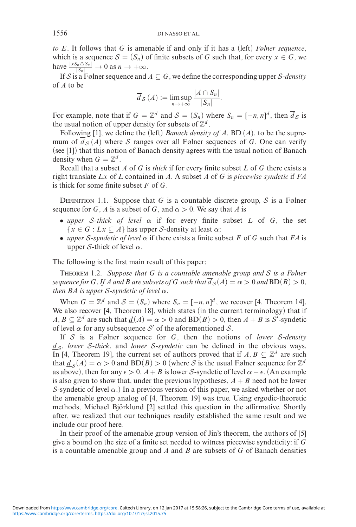*to E*. It follows that *G* is amenable if and only if it has a (left) *Følner sequence*, which is a sequence  $S = (S_n)$  of finite subsets of *G* such that, for every  $x \in G$ , we have  $\frac{|xS_n \triangle S_n|}{|S_n|} \to 0$  as  $n \to +\infty$ .

If S is a Følner sequence and  $A \subseteq G$ , we define the corresponding upper S-density of *A* to be

$$
\overline{d}_{\mathcal{S}}(A) := \limsup_{n \to +\infty} \frac{|A \cap S_n|}{|S_n|}.
$$

For example, note that if  $G = \mathbb{Z}^d$  and  $S = (S_n)$  where  $S_n = [-n, n]^d$ , then  $\overline{d}_S$  is the usual notion of upper density for subsets of  $\mathbb{Z}^d$ .

Following [1], we define the (left) *Banach density of A*, BD (*A*), to be the supremum of  $\overline{d}_{\mathcal{S}}(A)$  where S ranges over all Følner sequences of G. One can verify (see [1]) that this notion of Banach density agrees with the usual notion of Banach density when  $G = \mathbb{Z}^d$ .

Recall that a subset *A* of *G* is *thick* if for every finite subset *L* of *G* there exists a right translate *Lx* of *L* contained in *A*. A subset *A* of *G* is *piecewise syndetic* if *FA* is thick for some finite subset *F* of *G*.

DEFINITION 1.1. Suppose that *G* is a countable discrete group,  $S$  is a Følner sequence for *G*, *A* is a subset of *G*, and  $\alpha > 0$ . We say that *A* is

- *upper* S*-thick of level α* if for every finite subset *L* of *G*, the set  ${x \in G : Lx \subseteq A}$  has upper *S*-density at least  $\alpha$ ;
- *upper* S*-syndetic of level α* if there exists a finite subset *F* of *G* such that *FA* is upper S-thick of level *α*.

The following is the first main result of this paper:

Theorem 1.2. *Suppose that G is a countable amenable group and* S *is a Følner sequence for G. If A and B are subsets of G such that*  $d_S(A) = \alpha > 0$  *and*  $BD(B) > 0$ *, then*  $BA$  *is upper*  $S$ -*syndetic of level*  $\alpha$ *.* 

When  $G = \mathbb{Z}^d$  and  $S = (S_n)$  where  $S_n = [-n, n]^d$ , we recover [4, Theorem 14]. We also recover [4, Theorem 18], which states (in the current terminology) that if  $A, B \subseteq \mathbb{Z}^d$  are such that  $\underline{d}(A) = \alpha > 0$  and  $BD(B) > 0$ , then  $A + B$  is S'-syndetic of level  $\alpha$  for any subsequence S' of the aforementioned S.

If S is a Følner sequence for *G*, then the notions of *lower* S*-density*  $d_s$ , *lower* S-thick, and *lower* S-syndetic can be defined in the obvious ways. In [4, Theorem 19], the current set of authors proved that if  $A, B \subseteq \mathbb{Z}^d$  are such that  $d_S(A) = \alpha > 0$  and  $BD(B) > 0$  (where S is the usual Følner sequence for  $\mathbb{Z}^d$ as above), then for any  $\epsilon > 0$ ,  $A + B$  is lower S-syndetic of level  $\alpha - \epsilon$ . (An example is also given to show that, under the previous hypotheses,  $A + B$  need not be lower S-syndetic of level  $\alpha$ .) In a previous version of this paper, we asked whether or not the amenable group analog of [4, Theorem 19] was true. Using ergodic-theoretic methods, Michael Björklund [2] settled this question in the affirmative. Shortly after, we realized that our techniques readily established the same result and we include our proof here.

In their proof of the amenable group version of Jin's theorem, the authors of [5] give a bound on the size of a finite set needed to witness piecewise syndeticity: if *G* is a countable amenable group and *A* and *B* are subsets of *G* of Banach densities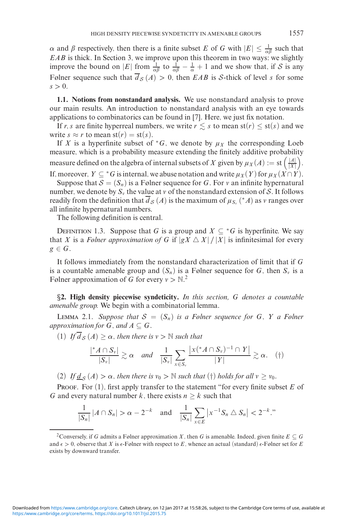*α* and *β* respectively, then there is a finite subset *E* of *G* with  $|E| \leq \frac{1}{\alpha \beta}$  such that *EAB* is thick. In Section 3, we improve upon this theorem in two ways: we slightly improve the bound on |*E*| from  $\frac{1}{\alpha\beta}$  to  $\frac{1}{\alpha\beta} - \frac{1}{\alpha} + 1$  and we show that, if S is any Følner sequence such that  $\overline{d}_{S}(A) > 0$ , then *EAB* is S-thick of level *s* for some  $s > 0$ .

**1.1. Notions from nonstandard analysis.** We use nonstandard analysis to prove our main results. An introduction to nonstandard analysis with an eye towards applications to combinatorics can be found in [7]. Here, we just fix notation.

If *r*, *s* are finite hyperreal numbers, we write  $r \leq s$  to mean  $st(r) \leq st(s)$  and we write  $s \approx r$  to mean  $st(r) = st(s)$ .

If *X* is a hyperfinite subset of  $*G$ , we denote by  $\mu_X$  the corresponding Loeb measure, which is a probability measure extending the finitely additive probability measure defined on the algebra of internal subsets of *X* given by  $\mu_X(A) := \text{st} \left( \frac{|A|}{|X|} \right)$ |*X*| .

If, moreover,  $Y \subseteq {}^*G$  is internal, we abuse notation and write  $\mu_X(Y)$  for  $\mu_X(X \cap Y)$ .

Suppose that  $S = (S_n)$  is a Følner sequence for G. For v an infinite hypernatural number, we denote by  $S_v$  the value at v of the nonstandard extension of S. It follows readily from the definition that  $d_S(A)$  is the maximum of  $\mu_{S_r}$  (\**A*) as  $\nu$  ranges over all infinite hypernatural numbers.

The following definition is central.

DEFINITION 1.3. Suppose that *G* is a group and  $X \subseteq {}^*G$  is hyperfinite. We say that *X* is a *Følner approximation of G* if  $|gX \triangle X| / |X|$  is infinitesimal for every  $g \in G$ .

It follows immediately from the nonstandard characterization of limit that if *G* is a countable amenable group and  $(S_n)$  is a Følner sequence for G, then  $S_\nu$  is a Følner approximation of G for every  $v > N<sup>2</sup>$ .

*§***2. High density piecewise syndeticity.** *In this section, G denotes a countable amenable group.* We begin with a combinatorial lemma.

LEMMA 2.1. *Suppose that*  $S = (S_n)$  *is a Følner sequence for*  $G$ *,*  $Y$  *a Følner approximation for*  $G$ *, and*  $A \subseteq G$ *.* 

 $(1)$  *If*  $\overline{d}_S(A) \ge \alpha$ , then there is  $v > \mathbb{N}$  such that

$$
\frac{|{}^{\ast}A\cap S_{\nu}|}{|S_{\nu}|}\gtrsim \alpha \quad \textit{and} \quad \frac{1}{|S_{\nu}|}\sum_{x\in S_{\nu}}\frac{|x({}^{\ast}A\cap S_{\nu})^{-1}\cap Y|}{|Y|}\gtrsim \alpha. \quad (\dagger)
$$

(2) *If*  $d_S(A) > \alpha$ , then there is  $v_0 > \mathbb{N}$  such that (†) holds for all  $v \ge v_0$ .

PROOF. For (1), first apply transfer to the statement "for every finite subset *E* of *G* and every natural number *k*, there exists  $n \geq k$  such that

$$
\frac{1}{|S_n|} |A \cap S_n| > \alpha - 2^{-k} \quad \text{and} \quad \frac{1}{|S_n|} \sum_{x \in E} |x^{-1} S_n \triangle S_n| < 2^{-k}.
$$

<sup>&</sup>lt;sup>2</sup>Conversely, if *G* admits a Følner approximation *X*, then *G* is amenable. Indeed, given finite  $E \subseteq G$ and  $\epsilon > 0$ , observe that *X* is  $\epsilon$ -Følner with respect to *E*, whence an actual (standard)  $\epsilon$ -Følner set for *E* exists by downward transfer.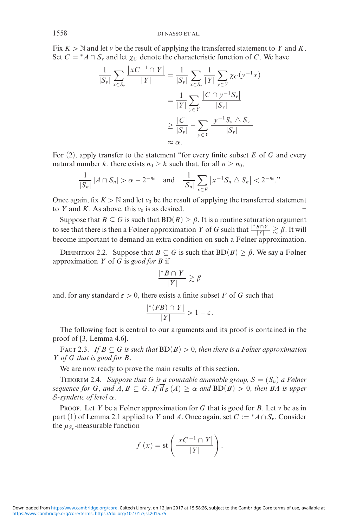Fix  $K > \mathbb{N}$  and let v be the result of applying the transferred statement to *Y* and *K*. Set  $C = *A \cap S$  and let  $\chi_C$  denote the characteristic function of *C*. We have

$$
\frac{1}{|S_v|} \sum_{x \in S_v} \frac{|xC^{-1} \cap Y|}{|Y|} = \frac{1}{|S_v|} \sum_{x \in S_v} \frac{1}{|Y|} \sum_{y \in Y} \chi_C(y^{-1}x)
$$

$$
= \frac{1}{|Y|} \sum_{y \in Y} \frac{|C \cap y^{-1}S_v|}{|S_v|}
$$

$$
\geq \frac{|C|}{|S_v|} - \sum_{y \in Y} \frac{|y^{-1}S_v \triangle S_v|}{|S_v|}
$$

$$
\approx \alpha.
$$

For (2), apply transfer to the statement "for every finite subset *E* of *G* and every natural number *k*, there exists  $n_0 \ge k$  such that, for all  $n \ge n_0$ ,

$$
\frac{1}{|S_n|} |A \cap S_n| > \alpha - 2^{-n_0} \quad \text{and} \quad \frac{1}{|S_n|} \sum_{x \in E} |x^{-1} S_n \triangle S_n| < 2^{-n_0}.
$$

Once again, fix  $K > N$  and let  $v_0$  be the result of applying the transferred statement to *Y* and *K*. As above, this  $v_0$  is as desired.

Suppose that  $B \subseteq G$  is such that  $BD(B) \ge \beta$ . It is a routine saturation argument to see that there is then a Følner approximation *Y* of *G* such that  $\frac{|^*B \cap Y|}{|Y|} \gtrsim \beta$ . It will become important to demand an extra condition on such a Følner approximation.

DEFINITION 2.2. Suppose that  $B \subseteq G$  is such that  $BD(B) \ge \beta$ . We say a Følner approximation *Y* of *G* is *good for B* if

$$
\frac{|^*B \cap Y|}{|Y|} \gtrsim \beta
$$

and, for any standard  $\varepsilon > 0$ , there exists a finite subset *F* of *G* such that

$$
\frac{|*(FB) \cap Y|}{|Y|} > 1 - \varepsilon.
$$

The following fact is central to our arguments and its proof is contained in the proof of [3, Lemma 4.6].

FACT 2.3. *If*  $B \subseteq G$  *is such that*  $BD(B) > 0$ *, then there is a Følner approximation Y of G that is good for B.*

We are now ready to prove the main results of this section.

THEOREM 2.4. *Suppose that G is a countable amenable group,*  $S = (S_n)$  *a Følner sequence for G, and*  $A, B \subseteq G$ *. If*  $\overline{d}_S(A) \ge \alpha$  *and*  $BD(B) > 0$ *, then BA is upper* S*-syndetic of level α.*

PROOF. Let *Y* be a Følner approximation for *G* that is good for *B*. Let *v* be as in part (1) of Lemma 2.1 applied to *Y* and *A*. Once again, set  $C := ^*A \cap S_{\nu}$ . Consider the  $\mu_{S_v}$ -measurable function

$$
f(x) = \text{st}\left(\frac{|xC^{-1} \cap Y|}{|Y|}\right).
$$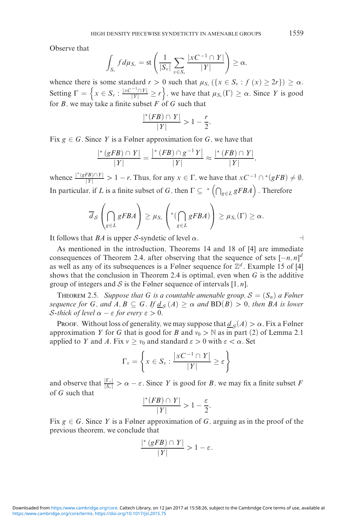Observe that

$$
\int_{S_v} f d\mu_{S_v} = \text{st}\left(\frac{1}{|S_v|}\sum_{x \in S_v} \frac{|xC^{-1} \cap Y|}{|Y|}\right) \ge \alpha,
$$

whence there is some standard  $r > 0$  such that  $\mu_{S_v}(\{x \in S_v : f(x) \ge 2r\}) \ge \alpha$ . Setting  $\Gamma = \left\{ x \in S_v : \frac{|xC^{-1} \cap Y|}{|Y|} \ge r \right\}$ , we have that  $\mu_{S_v}(\Gamma) \ge \alpha$ . Since *Y* is good for *B*, we may take a finite subset  $F$  of  $G$  such that

$$
\frac{|*(FB) \cap Y|}{|Y|} > 1 - \frac{r}{2}.
$$

Fix  $g \in G$ . Since Y is a Følner approximation for G, we have that

$$
\frac{|{}^*(gFB)\cap Y|}{|Y|}=\frac{|{}^*(FB)\cap g^{-1}Y|}{|Y|}\approx \frac{|{}^*(FB)\cap Y|}{|Y|},
$$

whence  $\frac{|\psi(gFB)\cap Y|}{|Y|} > 1 - r$ . Thus, for any  $x \in \Gamma$ , we have that  $xC^{-1} \cap {}^*(gFB) \neq \emptyset$ . In particular, if *L* is a finite subset of *G*, then  $\Gamma \subseteq \sqrt[e]{\Gamma_{g\in L} gFBA}$ . Therefore

$$
\overline{d}_{\mathcal{S}}\left(\bigcap_{g\in L}gFBA\right)\geq\mu_{S_v}\left(\text{Tr}\left(\bigcap_{g\in L}gFBA\right)\right)\geq\mu_{S_v}(\Gamma)\geq\alpha.
$$

It follows that *BA* is upper *S*-syndetic of level  $\alpha$ .

As mentioned in the introduction, Theorems 14 and 18 of [4] are immediate consequences of Theorem 2.4, after observing that the sequence of sets  $[-n, n]^d$ as well as any of its subsequences is a Følner sequence for  $\mathbb{Z}^d$ . Example 15 of [4] shows that the conclusion in Theorem 2.4 is optimal, even when *G* is the additive group of integers and S is the Følner sequence of intervals  $[1, n]$ .

**THEOREM 2.5.** *Suppose that G is a countable amenable group,*  $S = (S_n)$  *a Følner sequence for G, and*  $A, B \subseteq G$ *. If*  $\underline{d}_S(A) \ge \alpha$  *and*  $BD(B) > 0$ *, then BA is lower S*-thick of level  $\alpha - \varepsilon$  for every  $\varepsilon > 0$ .

Proof. Without loss of generality, we may suppose that  $d_S(A) > \alpha$ . Fix a Følner approximation *Y* for *G* that is good for *B* and  $v_0 > N$  as in part (2) of Lemma 2.1 applied to *Y* and *A*. Fix  $v \ge v_0$  and standard  $\varepsilon > 0$  with  $\varepsilon < \alpha$ . Set

$$
\Gamma_{v} = \left\{ x \in S_{v} : \frac{|xC^{-1} \cap Y|}{|Y|} \ge \varepsilon \right\}
$$

and observe that  $\frac{|\Gamma_v|}{|S_v|} > \alpha - \varepsilon$ . Since *Y* is good for *B*, we may fix a finite subset *F* of *G* such that

$$
\frac{|*(FB) \cap Y|}{|Y|} > 1 - \frac{\varepsilon}{2}.
$$

Fix  $g \in G$ . Since *Y* is a Følner approximation of *G*, arguing as in the proof of the previous theorem, we conclude that

$$
\frac{|{}^*(gFB) \cap Y|}{|Y|} > 1 - \varepsilon.
$$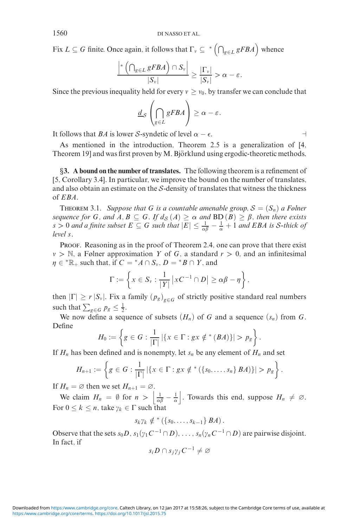Fix  $L \subseteq G$  finite. Once again, it follows that  $\Gamma_{\nu} \subseteq {}^{*} \left( \bigcap_{g \in L} gFBA \right)$  whence

$$
\frac{\left|*\left(\bigcap_{g\in L}gFBA\right)\cap S_{\nu}\right|}{|S_{\nu}|}\geq \frac{|\Gamma_{\nu}|}{|S_{\nu}|}>\alpha-\varepsilon.
$$

Since the previous inequality held for every  $v \ge v_0$ , by transfer we can conclude that

$$
\underline{d}_{\mathcal{S}}\left(\bigcap_{g\in L}gFBA\right)\geq\alpha-\varepsilon.
$$

It follows that *BA* is lower *S*-syndetic of level  $\alpha - \epsilon$ .

As mentioned in the introduction, Theorem 2.5 is a generalization of [4, Theorem 19] and was first proven by M. Björklund using ergodic-theoretic methods.

*§***3. A bound on the number of translates.** The following theorem is a refinement of [5, Corollary 3.4]. In particular, we improve the bound on the number of translates, and also obtain an estimate on the  $S$ -density of translates that witness the thickness of *EBA*.

THEOREM 3.1. *Suppose that G is a countable amenable group,*  $S = (S_n)$  *a Følner sequence for G*, and  $A, B \subseteq G$ *. If*  $d_S(A) \geq \alpha$  and  $BD(B) \geq \beta$ , then there exists  $s > 0$  *and a finite subset*  $E \subseteq G$  *such that*  $|E| \leq \frac{1}{\alpha\beta} - \frac{1}{\alpha} + 1$  *and EBA is S-thick of level s.*

PROOF. Reasoning as in the proof of Theorem 2.4, one can prove that there exist  $v > \mathbb{N}$ , a Følner approximation *Y* of *G*, a standard  $r > 0$ , and an infinitesimal  $\eta \in {^*}\mathbb{R}_+$  such that, if  $C = {^*}A \cap S_\nu$ ,  $D = {^*}B \cap Y$ , and

$$
\Gamma := \left\{ x \in S_{\nu} : \frac{1}{|Y|} \left| xC^{-1} \cap D \right| \geq \alpha \beta - \eta \right\},\
$$

then  $|\Gamma| \ge r |S_{\nu}|$ . Fix a family  $(p_g)_{g \in G}$  of strictly positive standard real numbers such that  $\sum_{g \in G} p_g \leq \frac{1}{2}$ .

We now define a sequence of subsets  $(H_n)$  of *G* and a sequence  $(s_n)$  from *G*. Define

$$
H_0:=\left\{g\in G:\frac{1}{|\Gamma|}\left|\{x\in \Gamma:gx\notin^*(BA)\}\right|>p_g\right\}.
$$

If  $H_n$  has been defined and is nonempty, let  $s_n$  be any element of  $H_n$  and set

$$
H_{n+1} := \left\{ g \in G : \frac{1}{|\Gamma|} | \{ x \in \Gamma : gx \notin^* (\{ s_0, \ldots, s_n \} B A) \} | > p_g \right\}.
$$

If  $H_n = \emptyset$  then we set  $H_{n+1} = \emptyset$ .

We claim  $H_n = \emptyset$  for  $n > \left| \frac{1}{\alpha \beta} - \frac{1}{\alpha} \right|$ . Towards this end, suppose  $H_n \neq \emptyset$ . For  $0 \leq k \leq n$ , take  $\gamma_k \in \Gamma$  such that

$$
s_k\gamma_k \notin {}^*(\{s_0,\ldots,s_{k-1}\}\,BA).
$$

Observe that the sets  $s_0D$ ,  $s_1(\gamma_1C^{-1}\cap D)$ , ...,  $s_n(\gamma_nC^{-1}\cap D)$  are pairwise disjoint. In fact, if

$$
s_i D \cap s_j \gamma_j C^{-1} \neq \varnothing
$$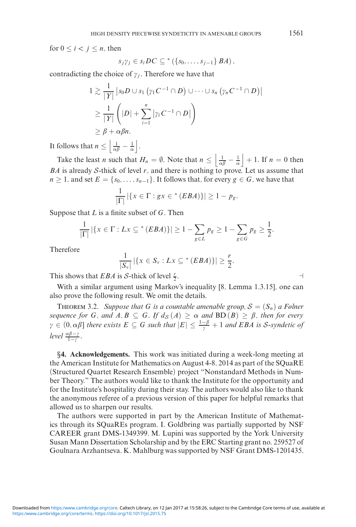for  $0 \le i < j \le n$ , then

$$
s_j\gamma_j\in s_iDC\subseteq^{\ast}\left(\{s_0,\ldots,s_{j-1}\}\,BA\right),\,
$$

contradicting the choice of  $\gamma_j$ . Therefore we have that

$$
1 \gtrsim \frac{1}{|Y|} |s_0 D \cup s_1 ( \gamma_1 C^{-1} \cap D) \cup \cdots \cup s_n ( \gamma_n C^{-1} \cap D) |
$$
  
\n
$$
\geq \frac{1}{|Y|} (|D| + \sum_{i=1}^n | \gamma_i C^{-1} \cap D |)
$$
  
\n
$$
\geq \beta + \alpha \beta n.
$$

It follows that  $n \leq \left| \frac{1}{\alpha \beta} - \frac{1}{\alpha} \right|$ .

Take the least *n* such that  $H_n = \emptyset$ . Note that  $n \leq \left| \frac{1}{\alpha \beta} - \frac{1}{\alpha} \right| + 1$ . If  $n = 0$  then *BA* is already *S*-thick of level *r*, and there is nothing to prove. Let us assume that  $n \geq 1$ , and set  $E = \{s_0, \ldots, s_{n-1}\}\$ . It follows that, for every  $g \in G$ , we have that

$$
\frac{1}{|\Gamma|} |\{x \in \Gamma : gx \in^*(EBA)\}| \ge 1 - p_g.
$$

Suppose that *L* is a finite subset of *G*. Then

$$
\frac{1}{|\Gamma|} |\{x \in \Gamma : Lx \subseteq {}^*(EBA)\}| \geq 1 - \sum_{g \in L} p_g \geq 1 - \sum_{g \in G} p_g \geq \frac{1}{2}.
$$

Therefore

$$
\frac{1}{|S_{\nu}|}\left|\left\{x \in S_{\nu}: Lx \subseteq {}^{*}(EBA)\right\}\right| \geq \frac{r}{2}.
$$

This shows that *EBA* is *S*-thick of level  $\frac{r}{2}$ .  $\frac{r}{2}$ .

With a similar argument using Markov's inequality [8, Lemma 1.3.15], one can also prove the following result. We omit the details.

THEOREM 3.2. *Suppose that* G *is a countable amenable group,*  $S = (S_n)$  *a Følner sequence for G, and*  $A, B \subseteq G$ *. If*  $d_S(A) \ge \alpha$  *and*  $BD(B) \ge \beta$ *, then for every*  $\gamma \in (0, \alpha\beta]$  there exists  $E \subseteq G$  such that  $|E| \leq \frac{1-\beta}{\gamma} + 1$  and EBA is S-syndetic of *level*  $\frac{\alpha\beta-\gamma}{1-\gamma}$ .

*§***4. Acknowledgements.** This work was initiated during a week-long meeting at the American Institute for Mathematics on August 4-8, 2014 as part of the SQuaRE (Structured Quartet Research Ensemble) project "Nonstandard Methods in Number Theory." The authors would like to thank the Institute for the opportunity and for the Institute's hospitality during their stay. The authors would also like to thank the anonymous referee of a previous version of this paper for helpful remarks that allowed us to sharpen our results.

The authors were supported in part by the American Institute of Mathematics through its SQuaREs program. I. Goldbring was partially supported by NSF CAREER grant DMS-1349399. M. Lupini was supported by the York University Susan Mann Dissertation Scholarship and by the ERC Starting grant no. 259527 of Goulnara Arzhantseva. K. Mahlburg was supported by NSF Grant DMS-1201435.